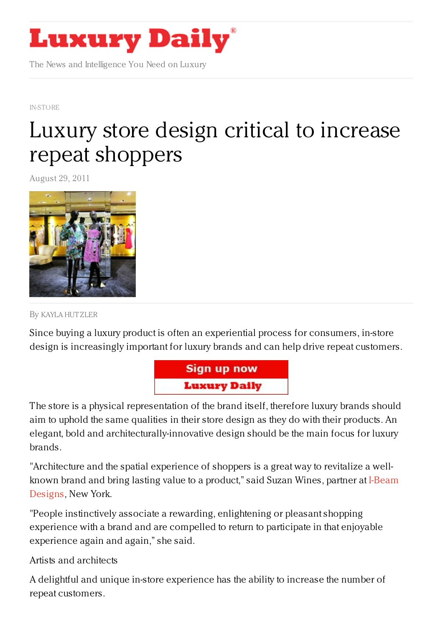

The News and Intelligence You Need on Luxury

[IN-STORE](https://www.luxurydaily.com/category/news/in-store/)

## Luxury store design critical to increase repeat [shoppers](https://www.luxurydaily.com/luxury-store-design-is-critical-to-increase-repeat-shoppers/)

August 29, 2011



By [KAYLA](/author/kayla-hutzler) HUT ZLER

Since buying a luxury product is often an experiential process for consumers, in-store design is increasingly important for luxury brands and can help drive repeat customers.



The store is a physical representation of the brand itself, therefore luxury brands should aim to uphold the same qualities in their store design as they do with their products. An elegant, bold and architecturally-innovative design should be the main focus for luxury brands.

"Architecture and the spatial experience of shoppers is a great way to revitalize a wellknown brand and bring lasting value to a [product,"](www.i-beamdesign.com/) said Suzan Wines, partner at I-Beam Designs, New York.

"People instinctively associate a rewarding, enlightening or pleasant shopping experience with a brand and are compelled to return to participate in that enjoyable experience again and again," she said.

Artists and architects

A delightful and unique in-store experience has the ability to increase the number of repeat customers.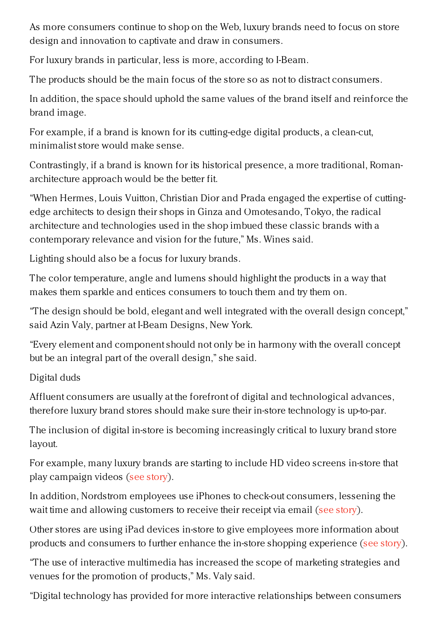As more consumers continue to shop on the Web, luxury brands need to focus on store design and innovation to captivate and draw in consumers.

For luxury brands in particular, less is more, according to I-Beam.

The products should be the main focus of the store so as not to distract consumers.

In addition, the space should uphold the same values of the brand itself and reinforce the brand image.

For example, if a brand is known for its cutting-edge digital products, a clean-cut, minimalist store would make sense.

Contrastingly, if a brand is known for its historical presence, a more traditional, Romanarchitecture approach would be the better fit.

"When Hermes, Louis Vuitton, Christian Dior and Prada engaged the expertise of cuttingedge architects to design their shops in Ginza and Omotesando, Tokyo, the radical architecture and technologies used in the shop imbued these classic brands with a contemporary relevance and vision for the future," Ms. Wines said.

Lighting should also be a focus for luxury brands.

The color temperature, angle and lumens should highlight the products in a way that makes them sparkle and entices consumers to touch them and try them on.

"The design should be bold, elegant and well integrated with the overall design concept," said Azin Valy, partner at I-Beam Designs, New York.

"Every element and component should not only be in harmony with the overall concept but be an integral part of the overall design," she said.

Digital duds

Affluent consumers are usually at the forefront of digital and technological advances, therefore luxury brand stores should make sure their in-store technology is up-to-par.

The inclusion of digital in-store is becoming increasingly critical to luxury brand store layout.

For example, many luxury brands are starting to include HD video screens in-store that play campaign videos (see [story](https://www.luxurydaily.com/increasing-the-in-store-experience-using-video/)).

In addition, Nordstrom employees use iPhones to check-out consumers, lessening the wait time and allowing customers to receive their receipt via email (see [story](https://www.luxurydaily.com/nordstrom-continues-leisurely-foray-into-mobile-with-ipod-touch-check-out/)).

Other stores are using iPad devices in-store to give employees more information about products and consumers to further enhance the in-store shopping experience (see [story](https://www.luxurydaily.com/in-store-mobile-devices-can-help-employees-increase-luxury-brand-crm/)).

"The use of interactive multimedia has increased the scope of marketing strategies and venues for the promotion of products," Ms. Valy said.

"Digital technology has provided for more interactive relationships between consumers